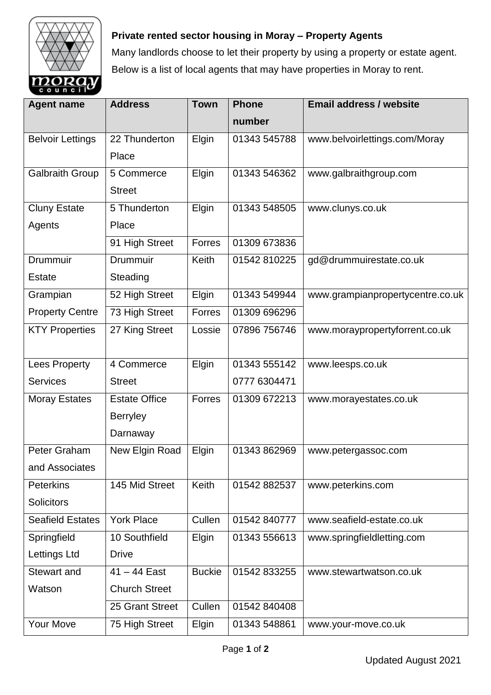

## **Private rented sector housing in Moray – Property Agents**

Many landlords choose to let their property by using a property or estate agent. Below is a list of local agents that may have properties in Moray to rent.

| <b>Agent name</b>       | <b>Address</b>            | <b>Town</b>   | <b>Phone</b> | <b>Email address / website</b>   |
|-------------------------|---------------------------|---------------|--------------|----------------------------------|
|                         |                           |               | number       |                                  |
| <b>Belvoir Lettings</b> | 22 Thunderton             | Elgin         | 01343 545788 | www.belvoirlettings.com/Moray    |
|                         | Place                     |               |              |                                  |
| <b>Galbraith Group</b>  | 5 Commerce                | Elgin         | 01343 546362 | www.galbraithgroup.com           |
|                         | <b>Street</b>             |               |              |                                  |
| <b>Cluny Estate</b>     | 5 Thunderton              | Elgin         | 01343 548505 | www.clunys.co.uk                 |
| Agents                  | Place                     |               |              |                                  |
|                         | 91 High Street            | Forres        | 01309 673836 |                                  |
| Drummuir                | Drummuir                  | Keith         | 01542 810225 | gd@drummuirestate.co.uk          |
| <b>Estate</b>           | Steading                  |               |              |                                  |
| Grampian                | 52 High Street            | Elgin         | 01343 549944 | www.grampianpropertycentre.co.uk |
| <b>Property Centre</b>  | 73 High Street            | <b>Forres</b> | 01309 696296 |                                  |
| <b>KTY Properties</b>   | 27 King Street            | Lossie        | 07896 756746 | www.moraypropertyforrent.co.uk   |
|                         |                           |               |              |                                  |
| <b>Lees Property</b>    | 4 Commerce                | Elgin         | 01343 555142 | www.leesps.co.uk                 |
| <b>Services</b>         | <b>Street</b>             |               | 0777 6304471 |                                  |
| <b>Moray Estates</b>    | <b>Estate Office</b>      | Forres        | 01309 672213 | www.morayestates.co.uk           |
|                         | <b>Berryley</b>           |               |              |                                  |
|                         | Darnaway                  |               |              |                                  |
| Peter Graham            | New Elgin Road            | Elgin         | 01343 862969 | www.petergassoc.com              |
| and Associates          |                           |               |              |                                  |
| <b>Peterkins</b>        | 145 Mid Street            | Keith         | 01542 882537 | www.peterkins.com                |
| <b>Solicitors</b>       |                           |               |              |                                  |
| <b>Seafield Estates</b> | <b>York Place</b>         | Cullen        | 01542 840777 | www.seafield-estate.co.uk        |
| Springfield             | 10 Southfield             | Elgin         | 01343 556613 | www.springfieldletting.com       |
| Lettings Ltd            | <b>Drive</b>              |               |              |                                  |
| <b>Stewart and</b>      | $\overline{41}$ – 44 East | <b>Buckie</b> | 01542 833255 | www.stewartwatson.co.uk          |
| Watson                  | <b>Church Street</b>      |               |              |                                  |
|                         | 25 Grant Street           | Cullen        | 01542 840408 |                                  |
| <b>Your Move</b>        | 75 High Street            | Elgin         | 01343 548861 | www.your-move.co.uk              |